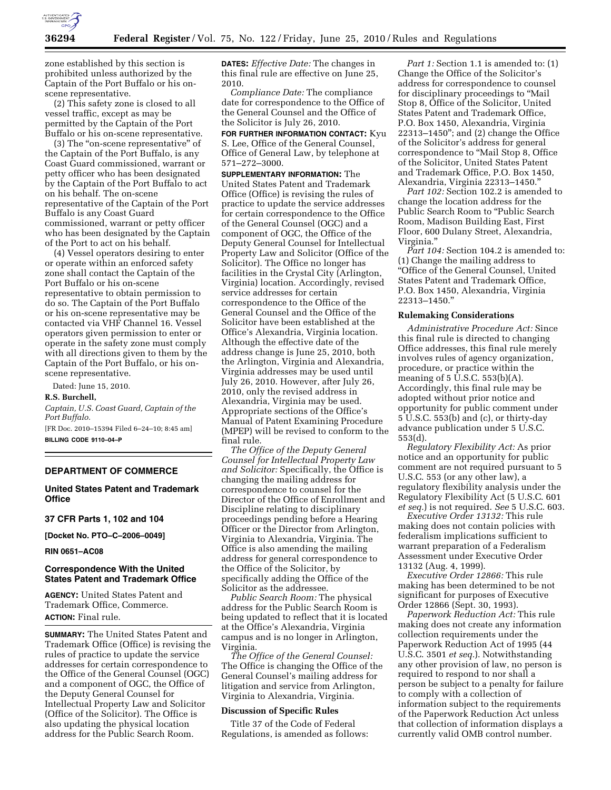

zone established by this section is prohibited unless authorized by the Captain of the Port Buffalo or his onscene representative.

(2) This safety zone is closed to all vessel traffic, except as may be permitted by the Captain of the Port Buffalo or his on-scene representative.

(3) The ''on-scene representative'' of the Captain of the Port Buffalo, is any Coast Guard commissioned, warrant or petty officer who has been designated by the Captain of the Port Buffalo to act on his behalf. The on-scene representative of the Captain of the Port Buffalo is any Coast Guard commissioned, warrant or petty officer who has been designated by the Captain of the Port to act on his behalf.

(4) Vessel operators desiring to enter or operate within an enforced safety zone shall contact the Captain of the Port Buffalo or his on-scene representative to obtain permission to do so. The Captain of the Port Buffalo or his on-scene representative may be contacted via VHF Channel 16. Vessel operators given permission to enter or operate in the safety zone must comply with all directions given to them by the Captain of the Port Buffalo, or his onscene representative.

Dated: June 15, 2010.

### **R.S. Burchell,**

*Captain, U.S. Coast Guard, Captain of the Port Buffalo.*  [FR Doc. 2010–15394 Filed 6–24–10; 8:45 am]

**BILLING CODE 9110–04–P** 

# **DEPARTMENT OF COMMERCE**

## **United States Patent and Trademark Office**

## **37 CFR Parts 1, 102 and 104**

**[Docket No. PTO–C–2006–0049]** 

**RIN 0651–AC08** 

# **Correspondence With the United States Patent and Trademark Office**

**AGENCY:** United States Patent and Trademark Office, Commerce. **ACTION:** Final rule.

**SUMMARY:** The United States Patent and Trademark Office (Office) is revising the rules of practice to update the service addresses for certain correspondence to the Office of the General Counsel (OGC) and a component of OGC, the Office of the Deputy General Counsel for Intellectual Property Law and Solicitor (Office of the Solicitor). The Office is also updating the physical location address for the Public Search Room.

**DATES:** *Effective Date:* The changes in this final rule are effective on June 25, 2010.

*Compliance Date:* The compliance date for correspondence to the Office of the General Counsel and the Office of the Solicitor is July 26, 2010.

**FOR FURTHER INFORMATION CONTACT:** Kyu S. Lee, Office of the General Counsel, Office of General Law, by telephone at 571–272–3000.

**SUPPLEMENTARY INFORMATION:** The United States Patent and Trademark Office (Office) is revising the rules of practice to update the service addresses for certain correspondence to the Office of the General Counsel (OGC) and a component of OGC, the Office of the Deputy General Counsel for Intellectual Property Law and Solicitor (Office of the Solicitor). The Office no longer has facilities in the Crystal City (Arlington, Virginia) location. Accordingly, revised service addresses for certain correspondence to the Office of the General Counsel and the Office of the Solicitor have been established at the Office's Alexandria, Virginia location. Although the effective date of the address change is June 25, 2010, both the Arlington, Virginia and Alexandria, Virginia addresses may be used until July 26, 2010. However, after July 26, 2010, only the revised address in Alexandria, Virginia may be used. Appropriate sections of the Office's Manual of Patent Examining Procedure (MPEP) will be revised to conform to the final rule.

*The Office of the Deputy General Counsel for Intellectual Property Law and Solicitor:* Specifically, the Office is changing the mailing address for correspondence to counsel for the Director of the Office of Enrollment and Discipline relating to disciplinary proceedings pending before a Hearing Officer or the Director from Arlington, Virginia to Alexandria, Virginia. The Office is also amending the mailing address for general correspondence to the Office of the Solicitor, by specifically adding the Office of the Solicitor as the addressee.

*Public Search Room:* The physical address for the Public Search Room is being updated to reflect that it is located at the Office's Alexandria, Virginia campus and is no longer in Arlington, Virginia.

*The Office of the General Counsel:*  The Office is changing the Office of the General Counsel's mailing address for litigation and service from Arlington, Virginia to Alexandria, Virginia.

## **Discussion of Specific Rules**

Title 37 of the Code of Federal Regulations, is amended as follows:

*Part 1:* Section 1.1 is amended to: (1) Change the Office of the Solicitor's address for correspondence to counsel for disciplinary proceedings to ''Mail Stop 8, Office of the Solicitor, United States Patent and Trademark Office, P.O. Box 1450, Alexandria, Virginia 22313–1450''; and (2) change the Office of the Solicitor's address for general correspondence to ''Mail Stop 8, Office of the Solicitor, United States Patent and Trademark Office, P.O. Box 1450, Alexandria, Virginia 22313–1450.''

*Part 102:* Section 102.2 is amended to change the location address for the Public Search Room to ''Public Search Room, Madison Building East, First Floor, 600 Dulany Street, Alexandria, Virginia.''

Part 104: Section 104.2 is amended to: (1) Change the mailing address to ''Office of the General Counsel, United States Patent and Trademark Office, P.O. Box 1450, Alexandria, Virginia 22313–1450.''

#### **Rulemaking Considerations**

*Administrative Procedure Act:* Since this final rule is directed to changing Office addresses, this final rule merely involves rules of agency organization, procedure, or practice within the meaning of 5 U.S.C. 553(b)(A). Accordingly, this final rule may be adopted without prior notice and opportunity for public comment under 5 U.S.C. 553(b) and (c), or thirty-day advance publication under 5 U.S.C. 553(d).

*Regulatory Flexibility Act:* As prior notice and an opportunity for public comment are not required pursuant to 5 U.S.C. 553 (or any other law), a regulatory flexibility analysis under the Regulatory Flexibility Act (5 U.S.C. 601 *et seq.*) is not required. *See* 5 U.S.C. 603.

*Executive Order 13132:* This rule making does not contain policies with federalism implications sufficient to warrant preparation of a Federalism Assessment under Executive Order 13132 (Aug. 4, 1999).

*Executive Order 12866:* This rule making has been determined to be not significant for purposes of Executive Order 12866 (Sept. 30, 1993).

*Paperwork Reduction Act:* This rule making does not create any information collection requirements under the Paperwork Reduction Act of 1995 (44 U.S.C. 3501 *et seq.*). Notwithstanding any other provision of law, no person is required to respond to nor shall a person be subject to a penalty for failure to comply with a collection of information subject to the requirements of the Paperwork Reduction Act unless that collection of information displays a currently valid OMB control number.